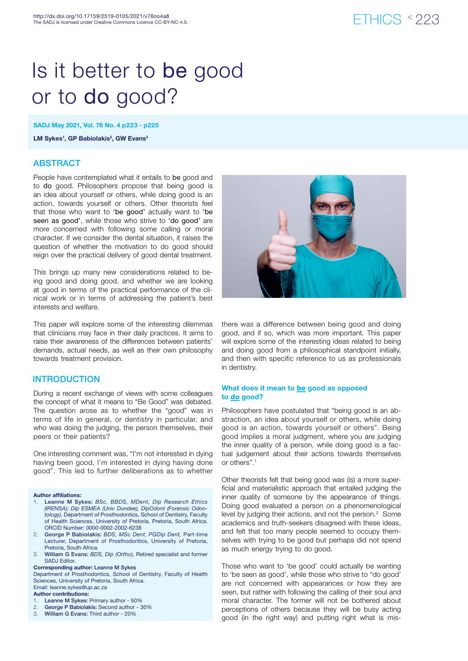# ETHICS < 223

# Is it better to be good or to do good?

SADJ May 2021, Vol. 76 No. 4 p223 - p225

LM Sykes<sup>1</sup>, GP Babiolakis<sup>2</sup>, GW Evans<sup>3</sup>

# ABSTRACT

People have contemplated what it entails to be good and to do good. Philosophers propose that being good is an idea about yourself or others, while doing good is an action, towards yourself or others. Other theorists feel that those who want to 'be good' actually want to 'be seen as good', while those who strive to 'do good' are more concerned with following some calling or moral character. If we consider the dental situation, it raises the question of whether the motivation to do good should reign over the practical delivery of good dental treatment.

This brings up many new considerations related to being good and doing good, and whether we are looking at good in terms of the practical performance of the clinical work or in terms of addressing the patient's best interests and welfare.

This paper will explore some of the interesting dilemmas that clinicians may face in their daily practices. It aims to raise their awareness of the differences between patients' demands, actual needs, as well as their own philosophy towards treatment provision.

## **INTRODUCTION**

During a recent exchange of views with some colleagues the concept of what it means to "Be Good" was debated. The question arose as to whether the "good" was in terms of life in general, or dentistry in particular, and who was doing the judging, the person themselves, their peers or their patients?

One interesting comment was, "I'm not interested in dying having been good, I'm interested in dying having done good". This led to further deliberations as to whether

#### Author affiliations:

- 1. Leanne M Sykes: *BSc, BBDS, MDent, Dip Research Ethics (IRENSA); Dip ESMEA (Univ Dundee), DipOdont (Forensic Odontology),* Department of Prosthodontics, School of Dentistry, Faculty of Health Sciences, University of Pretoria, Pretoria, South Africa. ORCID Number: 0000-0002-2002-6238
- 2. George P Babiolakis: *BDS, MSc Dent, PGDip Dent,* Part-time Lecturer, Department of Prosthodontics, University of Pretoria, Pretoria, South Africa.
- 3. William G Evans: *BDS, Dip (Ortho),* Retired specialist and former SADJ Editor.

Corresponding author: Leanne M Sykes

Department of Prosthodontics, School of Dentistry, Faculty of Health Sciences, University of Pretoria, South Africa. Email: leanne.sykes@up.ac.za

#### Author contributions:

- Leanne M Sykes: Primary author 50%
- 2. George P Babiolakis: Second author 30%
- 3. William G Evans: Third author 20%



there was a difference between being good and doing good, and if so, which was more important. This paper will explore some of the interesting ideas related to being and doing good from a philosophical standpoint initially, and then with specific reference to us as professionals in dentistry.

## What does it mean to be good as opposed to do good?

Philosophers have postulated that "being good is an abstraction, an idea about yourself or others, while doing good is an action, towards yourself or others". Being good implies a moral judgment, where you are judging the inner quality of a person, while doing good is a factual judgement about their actions towards themselves or others".1

Other theorists felt that being good was (is) a more superficial and materialistic approach that entailed judging the inner quality of someone by the appearance of things. Doing good evaluated a person on a phenomenological level by judging their actions, and not the person.<sup>2</sup> Some academics and truth-seekers disagreed with these ideas, and felt that too many people seemed to occupy themselves with trying to be good but perhaps did not spend as much energy trying to do good.

Those who want to 'be good' could actually be wanting to 'be seen as good', while those who strive to "do good' are not concerned with appearances or how they are seen, but rather with following the calling of their soul and moral character. The former will not be bothered about perceptions of others because they will be busy acting good (in the right way) and putting right what is mis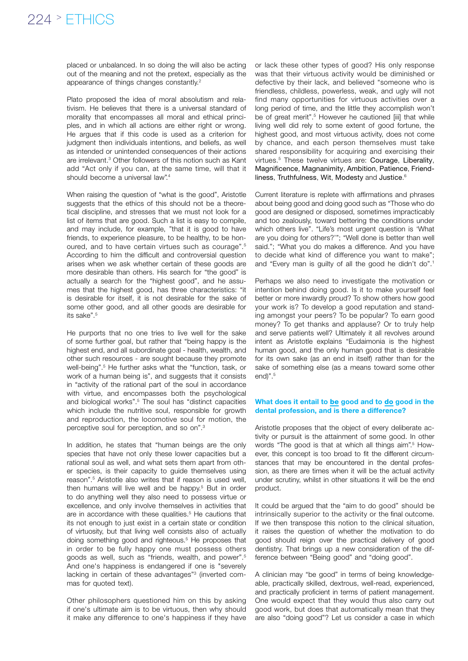placed or unbalanced. In so doing the will also be acting out of the meaning and not the pretext, especially as the appearance of things changes constantly.2

Plato proposed the idea of moral absolutism and relativism. He believes that there is a universal standard of morality that encompasses all moral and ethical principles, and in which all actions are either right or wrong. He argues that if this code is used as a criterion for judgment then individuals intentions, and beliefs, as well as intended or unintended consequences of their actions are irrelevant.<sup>3</sup> Other followers of this notion such as Kant add "Act only if you can, at the same time, will that it should become a universal law".<sup>4</sup>

When raising the question of "what is the good", Aristotle suggests that the ethics of this should not be a theoretical discipline, and stresses that we must not look for a list of items that are good. Such a list is easy to compile, and may include, for example, "that it is good to have friends, to experience pleasure, to be healthy, to be honoured, and to have certain virtues such as courage".5 According to him the difficult and controversial question arises when we ask whether certain of these goods are more desirable than others. His search for "the good" is actually a search for the "highest good", and he assumes that the highest good, has three characteristics: "it is desirable for itself, it is not desirable for the sake of some other good, and all other goods are desirable for its sake".5

He purports that no one tries to live well for the sake of some further goal, but rather that "being happy is the highest end, and all subordinate goal - health, wealth, and other such resources - are sought because they promote well-being".<sup>5</sup> He further asks what the "function, task, or work of a human being is", and suggests that it consists in "activity of the rational part of the soul in accordance with virtue, and encompasses both the psychological and biological works".<sup>5</sup> The soul has "distinct capacities which include the nutritive soul, responsible for growth and reproduction, the locomotive soul for motion, the perceptive soul for perception, and so on".3

In addition, he states that "human beings are the only species that have not only these lower capacities but a rational soul as well, and what sets them apart from other species, is their capacity to guide themselves using reason".5 Aristotle also writes that if reason is used well, then humans will live well and be happy.<sup>5</sup> But in order to do anything well they also need to possess virtue or excellence, and only involve themselves in activities that are in accordance with these qualities.<sup>5</sup> He cautions that its not enough to just exist in a certain state or condition of virtuosity, but that living well consists also of actually doing something good and righteous.<sup>5</sup> He proposes that in order to be fully happy one must possess others goods as well, such as "friends, wealth, and power".5 And one's happiness is endangered if one is "severely lacking in certain of these advantages"3 (inverted commas for quoted text).

Other philosophers questioned him on this by asking if one's ultimate aim is to be virtuous, then why should it make any difference to one's happiness if they have

or lack these other types of good? His only response was that their virtuous activity would be diminished or defective by their lack, and believed "someone who is friendless, childless, powerless, weak, and ugly will not find many opportunities for virtuous activities over a long period of time, and the little they accomplish won't be of great merit".<sup>5</sup> However he cautioned [iii] that while living well did rely to some extent of good fortune, the highest good, and most virtuous activity, does not come by chance, and each person themselves must take shared responsibility for acquiring and exercising their virtues.5 These twelve virtues are: Courage, Liberality, Magnificence, Magnanimity, Ambition, Patience, Friendliness, Truthfulness, Wit, Modesty and Justice. 6

Current literature is replete with affirmations and phrases about being good and doing good such as "Those who do good are designed or disposed, sometimes impracticably and too zealously, toward bettering the conditions under which others live". "Life's most urgent question is 'What are you doing for others?'"; "Well done is better than well said."; "What you do makes a difference. And you have to decide what kind of difference you want to make"; and "Every man is guilty of all the good he didn't do".1

Perhaps we also need to investigate the motivation or intention behind doing good. Is it to make yourself feel better or more inwardly proud? To show others how good your work is? To develop a good reputation and standing amongst your peers? To be popular? To earn good money? To get thanks and applause? Or to truly help and serve patients well? Ultimately it all revolves around intent as Aristotle explains "Eudaimonia is the highest human good, and the only human good that is desirable for its own sake (as an end in itself) rather than for the sake of something else (as a means toward some other end)".<sup>5</sup>

#### What does it entail to be good and to do good in the dental profession, and is there a difference?

Aristotle proposes that the object of every deliberate activity or pursuit is the attainment of some good. In other words "The good is that at which all things aim".<sup>5</sup> However, this concept is too broad to fit the different circumstances that may be encountered in the dental profession, as there are times when it will be the actual activity under scrutiny, whilst in other situations it will be the end product.

It could be argued that the "aim to do good" should be intrinsically superior to the activity or the final outcome. If we then transpose this notion to the clinical situation, it raises the question of whether the motivation to do good should reign over the practical delivery of good dentistry. That brings up a new consideration of the difference between "Being good" and "doing good".

A clinician may "be good" in terms of being knowledgeable, practically skilled, dextrous, well-read, experienced, and practically proficient in terms of patient management. One would expect that they would thus also carry out good work, but does that automatically mean that they are also "doing good"? Let us consider a case in which